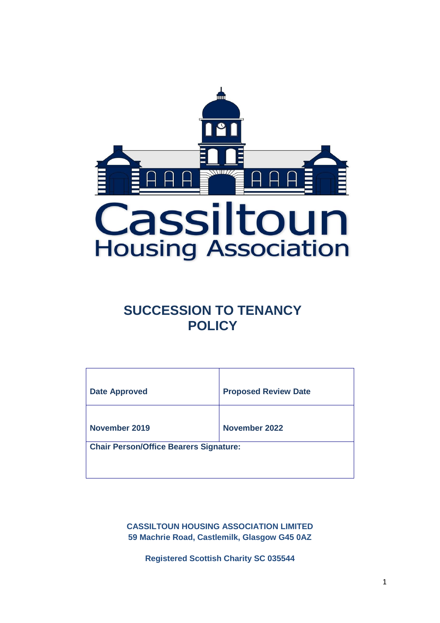

# **SUCCESSION TO TENANCY POLICY**

| <b>Date Approved</b>                          | <b>Proposed Review Date</b> |  |
|-----------------------------------------------|-----------------------------|--|
| November 2019                                 | November 2022               |  |
| <b>Chair Person/Office Bearers Signature:</b> |                             |  |

**CASSILTOUN HOUSING ASSOCIATION LIMITED 59 Machrie Road, Castlemilk, Glasgow G45 0AZ**

**Registered Scottish Charity SC 035544**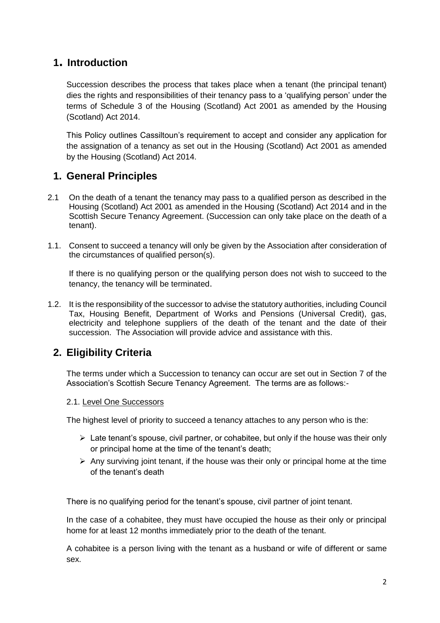# **1. Introduction**

Succession describes the process that takes place when a tenant (the principal tenant) dies the rights and responsibilities of their tenancy pass to a 'qualifying person' under the terms of Schedule 3 of the Housing (Scotland) Act 2001 as amended by the Housing (Scotland) Act 2014.

This Policy outlines Cassiltoun's requirement to accept and consider any application for the assignation of a tenancy as set out in the Housing (Scotland) Act 2001 as amended by the Housing (Scotland) Act 2014.

# **1. General Principles**

- 2.1 On the death of a tenant the tenancy may pass to a qualified person as described in the Housing (Scotland) Act 2001 as amended in the Housing (Scotland) Act 2014 and in the Scottish Secure Tenancy Agreement. (Succession can only take place on the death of a tenant).
- 1.1. Consent to succeed a tenancy will only be given by the Association after consideration of the circumstances of qualified person(s).

If there is no qualifying person or the qualifying person does not wish to succeed to the tenancy, the tenancy will be terminated.

1.2. It is the responsibility of the successor to advise the statutory authorities, including Council Tax, Housing Benefit, Department of Works and Pensions (Universal Credit), gas, electricity and telephone suppliers of the death of the tenant and the date of their succession. The Association will provide advice and assistance with this.

# **2. Eligibility Criteria**

The terms under which a Succession to tenancy can occur are set out in Section 7 of the Association's Scottish Secure Tenancy Agreement. The terms are as follows:-

## 2.1. Level One Successors

The highest level of priority to succeed a tenancy attaches to any person who is the:

- $\triangleright$  Late tenant's spouse, civil partner, or cohabitee, but only if the house was their only or principal home at the time of the tenant's death;
- $\triangleright$  Any surviving joint tenant, if the house was their only or principal home at the time of the tenant's death

There is no qualifying period for the tenant's spouse, civil partner of joint tenant.

In the case of a cohabitee, they must have occupied the house as their only or principal home for at least 12 months immediately prior to the death of the tenant.

A cohabitee is a person living with the tenant as a husband or wife of different or same sex.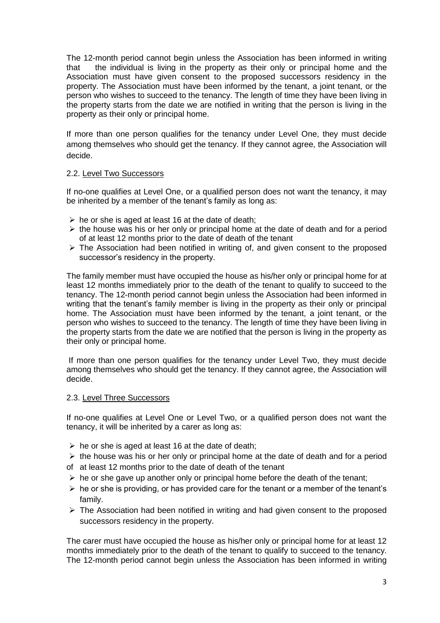The 12-month period cannot begin unless the Association has been informed in writing that the individual is living in the property as their only or principal home and the Association must have given consent to the proposed successors residency in the property. The Association must have been informed by the tenant, a joint tenant, or the person who wishes to succeed to the tenancy. The length of time they have been living in the property starts from the date we are notified in writing that the person is living in the property as their only or principal home.

If more than one person qualifies for the tenancy under Level One, they must decide among themselves who should get the tenancy. If they cannot agree, the Association will decide.

## 2.2. Level Two Successors

If no-one qualifies at Level One, or a qualified person does not want the tenancy, it may be inherited by a member of the tenant's family as long as:

- $\triangleright$  he or she is aged at least 16 at the date of death:
- $\triangleright$  the house was his or her only or principal home at the date of death and for a period of at least 12 months prior to the date of death of the tenant
- $\triangleright$  The Association had been notified in writing of, and given consent to the proposed successor's residency in the property.

The family member must have occupied the house as his/her only or principal home for at least 12 months immediately prior to the death of the tenant to qualify to succeed to the tenancy. The 12-month period cannot begin unless the Association had been informed in writing that the tenant's family member is living in the property as their only or principal home. The Association must have been informed by the tenant, a joint tenant, or the person who wishes to succeed to the tenancy. The length of time they have been living in the property starts from the date we are notified that the person is living in the property as their only or principal home.

If more than one person qualifies for the tenancy under Level Two, they must decide among themselves who should get the tenancy. If they cannot agree, the Association will decide.

#### 2.3. Level Three Successors

If no-one qualifies at Level One or Level Two, or a qualified person does not want the tenancy, it will be inherited by a carer as long as:

- $\triangleright$  he or she is aged at least 16 at the date of death;
- $\triangleright$  the house was his or her only or principal home at the date of death and for a period
- of at least 12 months prior to the date of death of the tenant
- $\triangleright$  he or she gave up another only or principal home before the death of the tenant;
- $\triangleright$  he or she is providing, or has provided care for the tenant or a member of the tenant's family.
- ➢ The Association had been notified in writing and had given consent to the proposed successors residency in the property.

The carer must have occupied the house as his/her only or principal home for at least 12 months immediately prior to the death of the tenant to qualify to succeed to the tenancy. The 12-month period cannot begin unless the Association has been informed in writing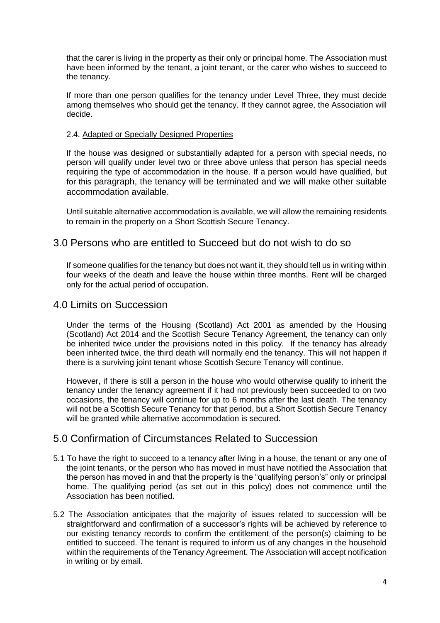that the carer is living in the property as their only or principal home. The Association must have been informed by the tenant, a joint tenant, or the carer who wishes to succeed to the tenancy.

If more than one person qualifies for the tenancy under Level Three, they must decide among themselves who should get the tenancy. If they cannot agree, the Association will decide.

## 2.4. Adapted or Specially Designed Properties

If the house was designed or substantially adapted for a person with special needs, no person will qualify under level two or three above unless that person has special needs requiring the type of accommodation in the house. If a person would have qualified, but for this paragraph, the tenancy will be terminated and we will make other suitable accommodation available.

Until suitable alternative accommodation is available, we will allow the remaining residents to remain in the property on a Short Scottish Secure Tenancy.

# 3.0 Persons who are entitled to Succeed but do not wish to do so

If someone qualifies for the tenancy but does not want it, they should tell us in writing within four weeks of the death and leave the house within three months. Rent will be charged only for the actual period of occupation.

# 4.0 Limits on Succession

Under the terms of the Housing (Scotland) Act 2001 as amended by the Housing (Scotland) Act 2014 and the Scottish Secure Tenancy Agreement, the tenancy can only be inherited twice under the provisions noted in this policy. If the tenancy has already been inherited twice, the third death will normally end the tenancy. This will not happen if there is a surviving joint tenant whose Scottish Secure Tenancy will continue.

However, if there is still a person in the house who would otherwise qualify to inherit the tenancy under the tenancy agreement if it had not previously been succeeded to on two occasions, the tenancy will continue for up to 6 months after the last death. The tenancy will not be a Scottish Secure Tenancy for that period, but a Short Scottish Secure Tenancy will be granted while alternative accommodation is secured.

# 5.0 Confirmation of Circumstances Related to Succession

- 5.1 To have the right to succeed to a tenancy after living in a house, the tenant or any one of the joint tenants, or the person who has moved in must have notified the Association that the person has moved in and that the property is the "qualifying person's" only or principal home. The qualifying period (as set out in this policy) does not commence until the Association has been notified.
- 5.2 The Association anticipates that the majority of issues related to succession will be straightforward and confirmation of a successor's rights will be achieved by reference to our existing tenancy records to confirm the entitlement of the person(s) claiming to be entitled to succeed. The tenant is required to inform us of any changes in the household within the requirements of the Tenancy Agreement. The Association will accept notification in writing or by email.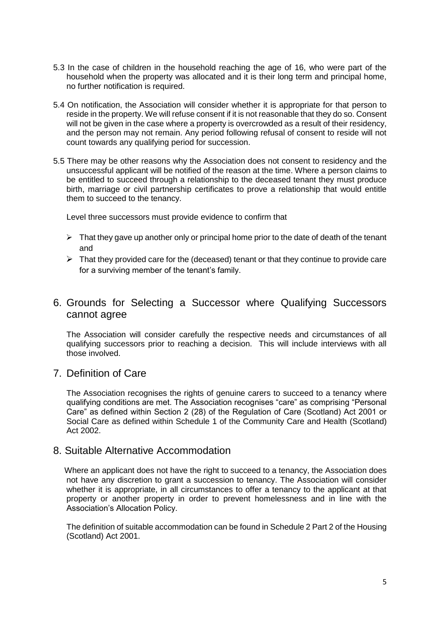- 5.3 In the case of children in the household reaching the age of 16, who were part of the household when the property was allocated and it is their long term and principal home, no further notification is required.
- 5.4 On notification, the Association will consider whether it is appropriate for that person to reside in the property. We will refuse consent if it is not reasonable that they do so. Consent will not be given in the case where a property is overcrowded as a result of their residency, and the person may not remain. Any period following refusal of consent to reside will not count towards any qualifying period for succession.
- 5.5 There may be other reasons why the Association does not consent to residency and the unsuccessful applicant will be notified of the reason at the time. Where a person claims to be entitled to succeed through a relationship to the deceased tenant they must produce birth, marriage or civil partnership certificates to prove a relationship that would entitle them to succeed to the tenancy.

Level three successors must provide evidence to confirm that

- $\triangleright$  That they gave up another only or principal home prior to the date of death of the tenant and
- $\triangleright$  That they provided care for the (deceased) tenant or that they continue to provide care for a surviving member of the tenant's family.

# 6. Grounds for Selecting a Successor where Qualifying Successors cannot agree

The Association will consider carefully the respective needs and circumstances of all qualifying successors prior to reaching a decision. This will include interviews with all those involved.

# 7. Definition of Care

The Association recognises the rights of genuine carers to succeed to a tenancy where qualifying conditions are met. The Association recognises "care" as comprising "Personal Care" as defined within Section 2 (28) of the Regulation of Care (Scotland) Act 2001 or Social Care as defined within Schedule 1 of the Community Care and Health (Scotland) Act 2002.

# 8. Suitable Alternative Accommodation

 Where an applicant does not have the right to succeed to a tenancy, the Association does not have any discretion to grant a succession to tenancy. The Association will consider whether it is appropriate, in all circumstances to offer a tenancy to the applicant at that property or another property in order to prevent homelessness and in line with the Association's Allocation Policy.

The definition of suitable accommodation can be found in Schedule 2 Part 2 of the Housing (Scotland) Act 2001.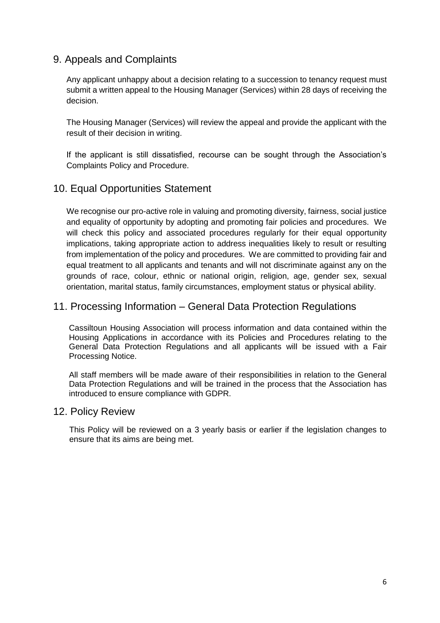# 9. Appeals and Complaints

Any applicant unhappy about a decision relating to a succession to tenancy request must submit a written appeal to the Housing Manager (Services) within 28 days of receiving the decision.

The Housing Manager (Services) will review the appeal and provide the applicant with the result of their decision in writing.

If the applicant is still dissatisfied, recourse can be sought through the Association's Complaints Policy and Procedure.

# 10. Equal Opportunities Statement

We recognise our pro-active role in valuing and promoting diversity, fairness, social justice and equality of opportunity by adopting and promoting fair policies and procedures. We will check this policy and associated procedures regularly for their equal opportunity implications, taking appropriate action to address inequalities likely to result or resulting from implementation of the policy and procedures. We are committed to providing fair and equal treatment to all applicants and tenants and will not discriminate against any on the grounds of race, colour, ethnic or national origin, religion, age, gender sex, sexual orientation, marital status, family circumstances, employment status or physical ability.

# 11. Processing Information – General Data Protection Regulations

Cassiltoun Housing Association will process information and data contained within the Housing Applications in accordance with its Policies and Procedures relating to the General Data Protection Regulations and all applicants will be issued with a Fair Processing Notice.

All staff members will be made aware of their responsibilities in relation to the General Data Protection Regulations and will be trained in the process that the Association has introduced to ensure compliance with GDPR.

## 12. Policy Review

This Policy will be reviewed on a 3 yearly basis or earlier if the legislation changes to ensure that its aims are being met.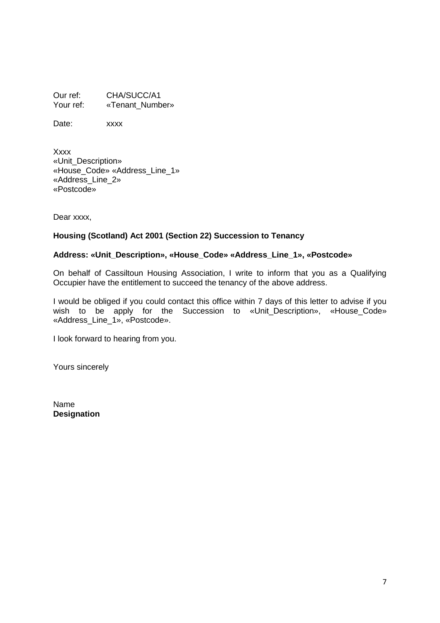Our ref: CHA/SUCC/A1<br>
Your ref: «Tenant Numb «Tenant\_Number»

Date: xxxx

Xxxx «Unit\_Description» «House\_Code» «Address\_Line\_1» «Address\_Line\_2» «Postcode»

Dear xxxx,

## **Housing (Scotland) Act 2001 (Section 22) Succession to Tenancy**

#### **Address: «Unit\_Description», «House\_Code» «Address\_Line\_1», «Postcode»**

On behalf of Cassiltoun Housing Association, I write to inform that you as a Qualifying Occupier have the entitlement to succeed the tenancy of the above address.

I would be obliged if you could contact this office within 7 days of this letter to advise if you wish to be apply for the Succession to «Unit\_Description», «House Code» «Address\_Line\_1», «Postcode».

I look forward to hearing from you.

Yours sincerely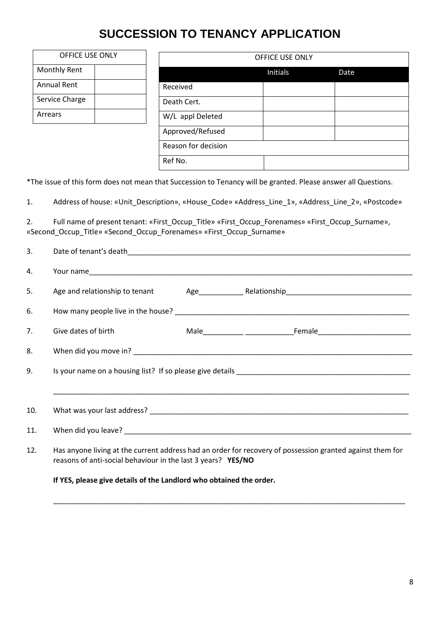# **SUCCESSION TO TENANCY APPLICATION**

| OFFICE USE ONLY |                     | <b>OFFICE USE ONLY</b> |      |  |
|-----------------|---------------------|------------------------|------|--|
| Monthly Rent    |                     | Initials               | Date |  |
| Annual Rent     | Received            |                        |      |  |
| Service Charge  | Death Cert.         |                        |      |  |
| Arrears         | W/L appl Deleted    |                        |      |  |
|                 | Approved/Refused    |                        |      |  |
|                 | Reason for decision |                        |      |  |

\*The issue of this form does not mean that Succession to Tenancy will be granted. Please answer all Questions.

Ref No.

1. Address of house: «Unit\_Description», «House\_Code» «Address\_Line\_1», «Address\_Line\_2», «Postcode»

2. Full name of present tenant: «First\_Occup\_Title» «First\_Occup\_Forenames» «First\_Occup\_Surname», «Second Occup Title» «Second Occup Forenames» «First Occup Surname»

| 3.  |                                                                                                                                                                           |  |  |  |  |
|-----|---------------------------------------------------------------------------------------------------------------------------------------------------------------------------|--|--|--|--|
| 4.  |                                                                                                                                                                           |  |  |  |  |
| 5.  |                                                                                                                                                                           |  |  |  |  |
| 6.  |                                                                                                                                                                           |  |  |  |  |
| 7.  | Give dates of birth                                                                                                                                                       |  |  |  |  |
| 8.  |                                                                                                                                                                           |  |  |  |  |
| 9.  |                                                                                                                                                                           |  |  |  |  |
|     |                                                                                                                                                                           |  |  |  |  |
| 10. |                                                                                                                                                                           |  |  |  |  |
| 11. |                                                                                                                                                                           |  |  |  |  |
| 12. | Has anyone living at the current address had an order for recovery of possession granted against them for<br>reasons of anti-social behaviour in the last 3 years? YES/NO |  |  |  |  |
|     | If YES, please give details of the Landlord who obtained the order.                                                                                                       |  |  |  |  |

\_\_\_\_\_\_\_\_\_\_\_\_\_\_\_\_\_\_\_\_\_\_\_\_\_\_\_\_\_\_\_\_\_\_\_\_\_\_\_\_\_\_\_\_\_\_\_\_\_\_\_\_\_\_\_\_\_\_\_\_\_\_\_\_\_\_\_\_\_\_\_\_\_\_\_\_\_\_\_\_\_\_\_\_\_\_\_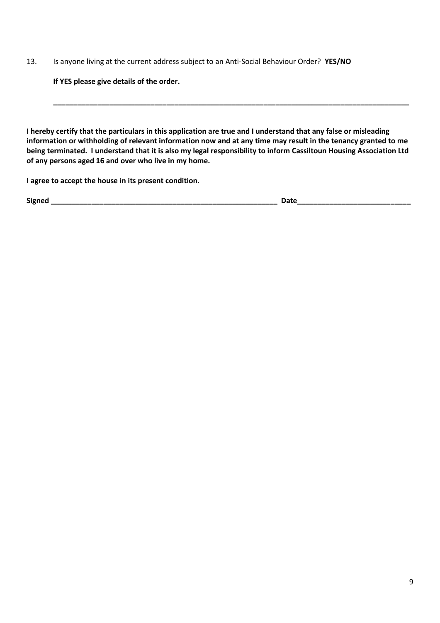13. Is anyone living at the current address subject to an Anti-Social Behaviour Order? **YES/NO**

**If YES please give details of the order.**

**I hereby certify that the particulars in this application are true and I understand that any false or misleading information or withholding of relevant information now and at any time may result in the tenancy granted to me being terminated. I understand that it is also my legal responsibility to inform Cassiltoun Housing Association Ltd of any persons aged 16 and over who live in my home.**

**\_\_\_\_\_\_\_\_\_\_\_\_\_\_\_\_\_\_\_\_\_\_\_\_\_\_\_\_\_\_\_\_\_\_\_\_\_\_\_\_\_\_\_\_\_\_\_\_\_\_\_\_\_\_\_\_\_\_\_\_\_\_\_\_\_\_\_\_\_\_\_\_\_\_\_\_\_\_\_\_\_\_\_\_\_\_\_\_**

**I agree to accept the house in its present condition.**

**Signed \_\_\_\_\_\_\_\_\_\_\_\_\_\_\_\_\_\_\_\_\_\_\_\_\_\_\_\_\_\_\_\_\_\_\_\_\_\_\_\_\_\_\_\_\_\_\_\_\_\_\_\_\_\_\_\_ Date\_\_\_\_\_\_\_\_\_\_\_\_\_\_\_\_\_\_\_\_\_\_\_\_\_\_\_\_**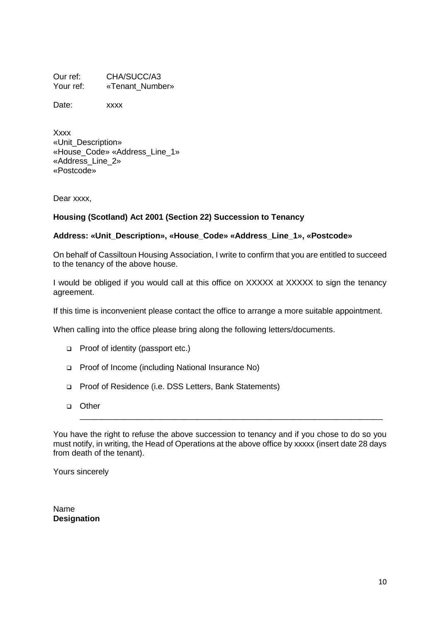Our ref: CHA/SUCC/A3<br>
Your ref: «Tenant Numb «Tenant\_Number»

Date: xxxx

Xxxx «Unit\_Description» «House\_Code» «Address\_Line\_1» «Address\_Line\_2» «Postcode»

Dear xxxx,

## **Housing (Scotland) Act 2001 (Section 22) Succession to Tenancy**

## **Address: «Unit\_Description», «House\_Code» «Address\_Line\_1», «Postcode»**

On behalf of Cassiltoun Housing Association, I write to confirm that you are entitled to succeed to the tenancy of the above house.

I would be obliged if you would call at this office on XXXXX at XXXXX to sign the tenancy agreement.

If this time is inconvenient please contact the office to arrange a more suitable appointment.

When calling into the office please bring along the following letters/documents.

- ❑ Proof of identity (passport etc.)
- ❑ Proof of Income (including National Insurance No)
- ❑ Proof of Residence (i.e. DSS Letters, Bank Statements)
- ❑ Other

You have the right to refuse the above succession to tenancy and if you chose to do so you must notify, in writing, the Head of Operations at the above office by xxxxx (insert date 28 days from death of the tenant).

\_\_\_\_\_\_\_\_\_\_\_\_\_\_\_\_\_\_\_\_\_\_\_\_\_\_\_\_\_\_\_\_\_\_\_\_\_\_\_\_\_\_\_\_\_\_\_\_\_\_\_\_\_\_\_\_\_\_\_\_\_\_\_\_\_\_\_

Yours sincerely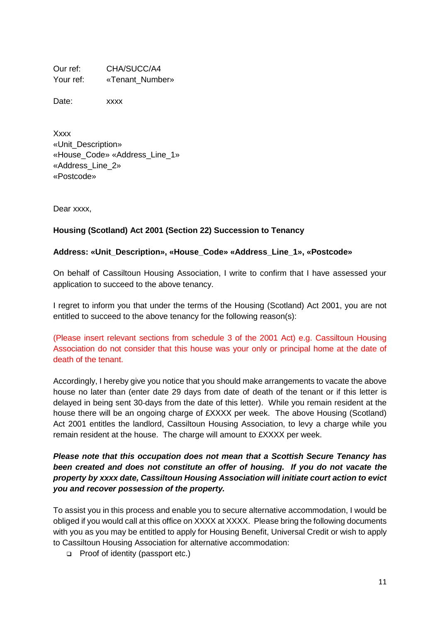Our ref: CHA/SUCC/A4 Your ref: «Tenant\_Number»

Date: xxxx

Xxxx «Unit\_Description» «House\_Code» «Address\_Line\_1» «Address\_Line\_2» «Postcode»

Dear xxxx,

## **Housing (Scotland) Act 2001 (Section 22) Succession to Tenancy**

## **Address: «Unit\_Description», «House\_Code» «Address\_Line\_1», «Postcode»**

On behalf of Cassiltoun Housing Association, I write to confirm that I have assessed your application to succeed to the above tenancy.

I regret to inform you that under the terms of the Housing (Scotland) Act 2001, you are not entitled to succeed to the above tenancy for the following reason(s):

(Please insert relevant sections from schedule 3 of the 2001 Act) e.g. Cassiltoun Housing Association do not consider that this house was your only or principal home at the date of death of the tenant.

Accordingly, I hereby give you notice that you should make arrangements to vacate the above house no later than (enter date 29 days from date of death of the tenant or if this letter is delayed in being sent 30 days from the date of this letter). While you remain resident at the house there will be an ongoing charge of £XXXX per week. The above Housing (Scotland) Act 2001 entitles the landlord, Cassiltoun Housing Association, to levy a charge while you remain resident at the house. The charge will amount to £XXXX per week.

# *Please note that this occupation does not mean that a Scottish Secure Tenancy has been created and does not constitute an offer of housing. If you do not vacate the property by xxxx date, Cassiltoun Housing Association will initiate court action to evict you and recover possession of the property.*

To assist you in this process and enable you to secure alternative accommodation, I would be obliged if you would call at this office on XXXX at XXXX. Please bring the following documents with you as you may be entitled to apply for Housing Benefit, Universal Credit or wish to apply to Cassiltoun Housing Association for alternative accommodation:

❑ Proof of identity (passport etc.)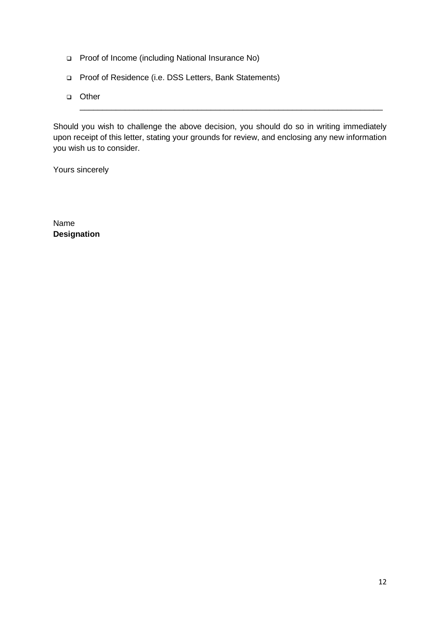- ❑ Proof of Income (including National Insurance No)
- ❑ Proof of Residence (i.e. DSS Letters, Bank Statements)
- ❑ Other

Should you wish to challenge the above decision, you should do so in writing immediately upon receipt of this letter, stating your grounds for review, and enclosing any new information you wish us to consider.

\_\_\_\_\_\_\_\_\_\_\_\_\_\_\_\_\_\_\_\_\_\_\_\_\_\_\_\_\_\_\_\_\_\_\_\_\_\_\_\_\_\_\_\_\_\_\_\_\_\_\_\_\_\_\_\_\_\_\_\_\_\_\_\_\_\_\_

Yours sincerely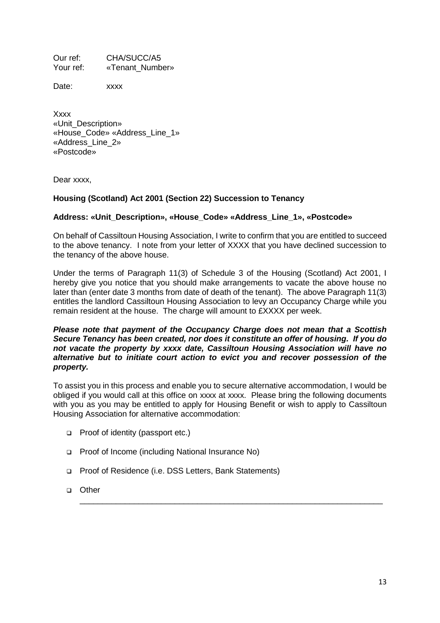Our ref: CHA/SUCC/A5 Your ref: «Tenant\_Number»

Date: xxxx

Xxxx «Unit\_Description» «House\_Code» «Address\_Line\_1» «Address\_Line\_2» «Postcode»

Dear xxxx,

## **Housing (Scotland) Act 2001 (Section 22) Succession to Tenancy**

## **Address: «Unit\_Description», «House\_Code» «Address\_Line\_1», «Postcode»**

On behalf of Cassiltoun Housing Association, I write to confirm that you are entitled to succeed to the above tenancy. I note from your letter of XXXX that you have declined succession to the tenancy of the above house.

Under the terms of Paragraph 11(3) of Schedule 3 of the Housing (Scotland) Act 2001, I hereby give you notice that you should make arrangements to vacate the above house no later than (enter date 3 months from date of death of the tenant). The above Paragraph 11(3) entitles the landlord Cassiltoun Housing Association to levy an Occupancy Charge while you remain resident at the house. The charge will amount to £XXXX per week.

#### *Please note that payment of the Occupancy Charge does not mean that a Scottish Secure Tenancy has been created, nor does it constitute an offer of housing. If you do not vacate the property by xxxx date, Cassiltoun Housing Association will have no alternative but to initiate court action to evict you and recover possession of the property.*

To assist you in this process and enable you to secure alternative accommodation, I would be obliged if you would call at this office on xxxx at xxxx. Please bring the following documents with you as you may be entitled to apply for Housing Benefit or wish to apply to Cassiltoun Housing Association for alternative accommodation:

\_\_\_\_\_\_\_\_\_\_\_\_\_\_\_\_\_\_\_\_\_\_\_\_\_\_\_\_\_\_\_\_\_\_\_\_\_\_\_\_\_\_\_\_\_\_\_\_\_\_\_\_\_\_\_\_\_\_\_\_\_\_\_\_\_\_\_

- ❑ Proof of identity (passport etc.)
- ❑ Proof of Income (including National Insurance No)
- ❑ Proof of Residence (i.e. DSS Letters, Bank Statements)
- ❑ Other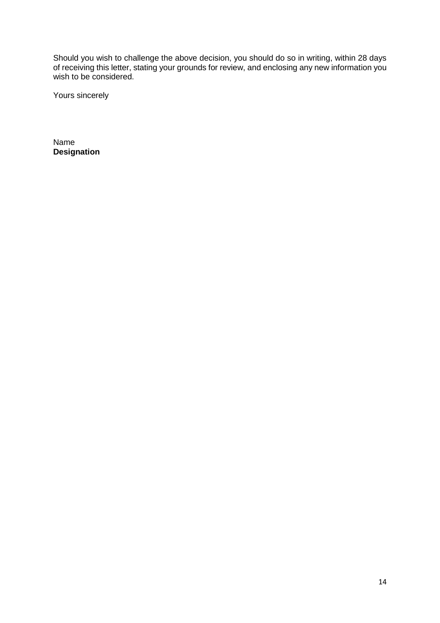Should you wish to challenge the above decision, you should do so in writing, within 28 days of receiving this letter, stating your grounds for review, and enclosing any new information you wish to be considered.

Yours sincerely